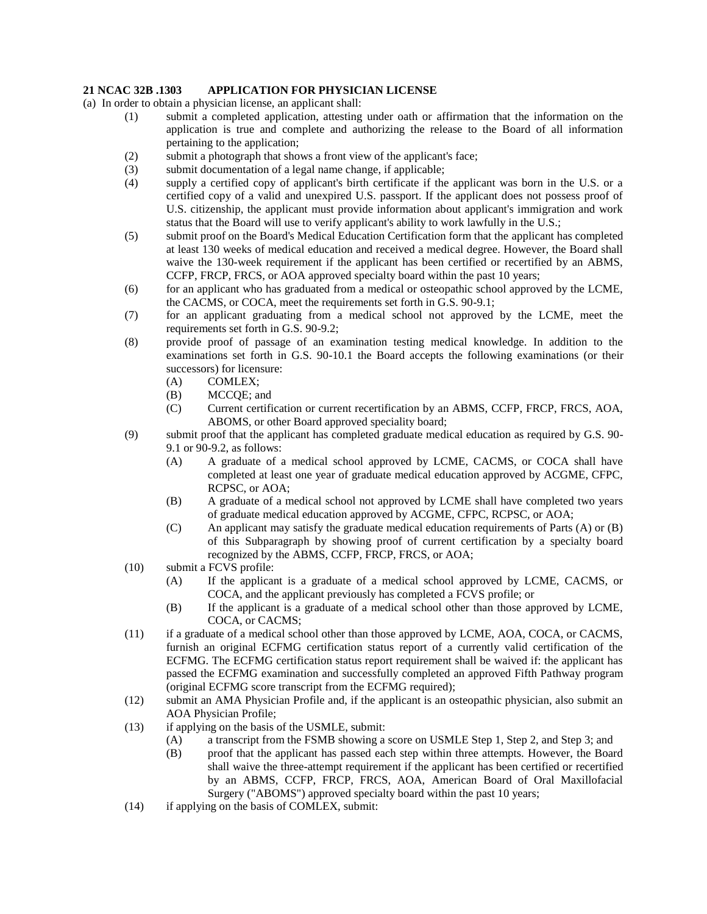## **21 NCAC 32B .1303 APPLICATION FOR PHYSICIAN LICENSE**

- (a) In order to obtain a physician license, an applicant shall:
	- (1) submit a completed application, attesting under oath or affirmation that the information on the application is true and complete and authorizing the release to the Board of all information pertaining to the application;
	- (2) submit a photograph that shows a front view of the applicant's face;
	- (3) submit documentation of a legal name change, if applicable;
	- (4) supply a certified copy of applicant's birth certificate if the applicant was born in the U.S. or a certified copy of a valid and unexpired U.S. passport. If the applicant does not possess proof of U.S. citizenship, the applicant must provide information about applicant's immigration and work status that the Board will use to verify applicant's ability to work lawfully in the U.S.;
	- (5) submit proof on the Board's Medical Education Certification form that the applicant has completed at least 130 weeks of medical education and received a medical degree. However, the Board shall waive the 130-week requirement if the applicant has been certified or recertified by an ABMS, CCFP, FRCP, FRCS, or AOA approved specialty board within the past 10 years;
	- (6) for an applicant who has graduated from a medical or osteopathic school approved by the LCME, the CACMS, or COCA, meet the requirements set forth in G.S. 90-9.1;
	- (7) for an applicant graduating from a medical school not approved by the LCME, meet the requirements set forth in G.S. 90-9.2;
	- (8) provide proof of passage of an examination testing medical knowledge. In addition to the examinations set forth in G.S. 90-10.1 the Board accepts the following examinations (or their successors) for licensure:
		- (A) COMLEX;
		- (B) MCCQE; and
		- (C) Current certification or current recertification by an ABMS, CCFP, FRCP, FRCS, AOA, ABOMS, or other Board approved speciality board;
	- (9) submit proof that the applicant has completed graduate medical education as required by G.S. 90- 9.1 or 90-9.2, as follows:
		- (A) A graduate of a medical school approved by LCME, CACMS, or COCA shall have completed at least one year of graduate medical education approved by ACGME, CFPC, RCPSC, or AOA;
		- (B) A graduate of a medical school not approved by LCME shall have completed two years of graduate medical education approved by ACGME, CFPC, RCPSC, or AOA;
		- (C) An applicant may satisfy the graduate medical education requirements of Parts (A) or (B) of this Subparagraph by showing proof of current certification by a specialty board recognized by the ABMS, CCFP, FRCP, FRCS, or AOA;
	- (10) submit a FCVS profile:
		- (A) If the applicant is a graduate of a medical school approved by LCME, CACMS, or COCA, and the applicant previously has completed a FCVS profile; or
		- (B) If the applicant is a graduate of a medical school other than those approved by LCME, COCA, or CACMS;
	- (11) if a graduate of a medical school other than those approved by LCME, AOA, COCA, or CACMS, furnish an original ECFMG certification status report of a currently valid certification of the ECFMG. The ECFMG certification status report requirement shall be waived if: the applicant has passed the ECFMG examination and successfully completed an approved Fifth Pathway program (original ECFMG score transcript from the ECFMG required);
	- (12) submit an AMA Physician Profile and, if the applicant is an osteopathic physician, also submit an AOA Physician Profile;
	- (13) if applying on the basis of the USMLE, submit:
		- (A) a transcript from the FSMB showing a score on USMLE Step 1, Step 2, and Step 3; and
		- (B) proof that the applicant has passed each step within three attempts. However, the Board shall waive the three-attempt requirement if the applicant has been certified or recertified by an ABMS, CCFP, FRCP, FRCS, AOA, American Board of Oral Maxillofacial Surgery ("ABOMS") approved specialty board within the past 10 years;
	- (14) if applying on the basis of COMLEX, submit: